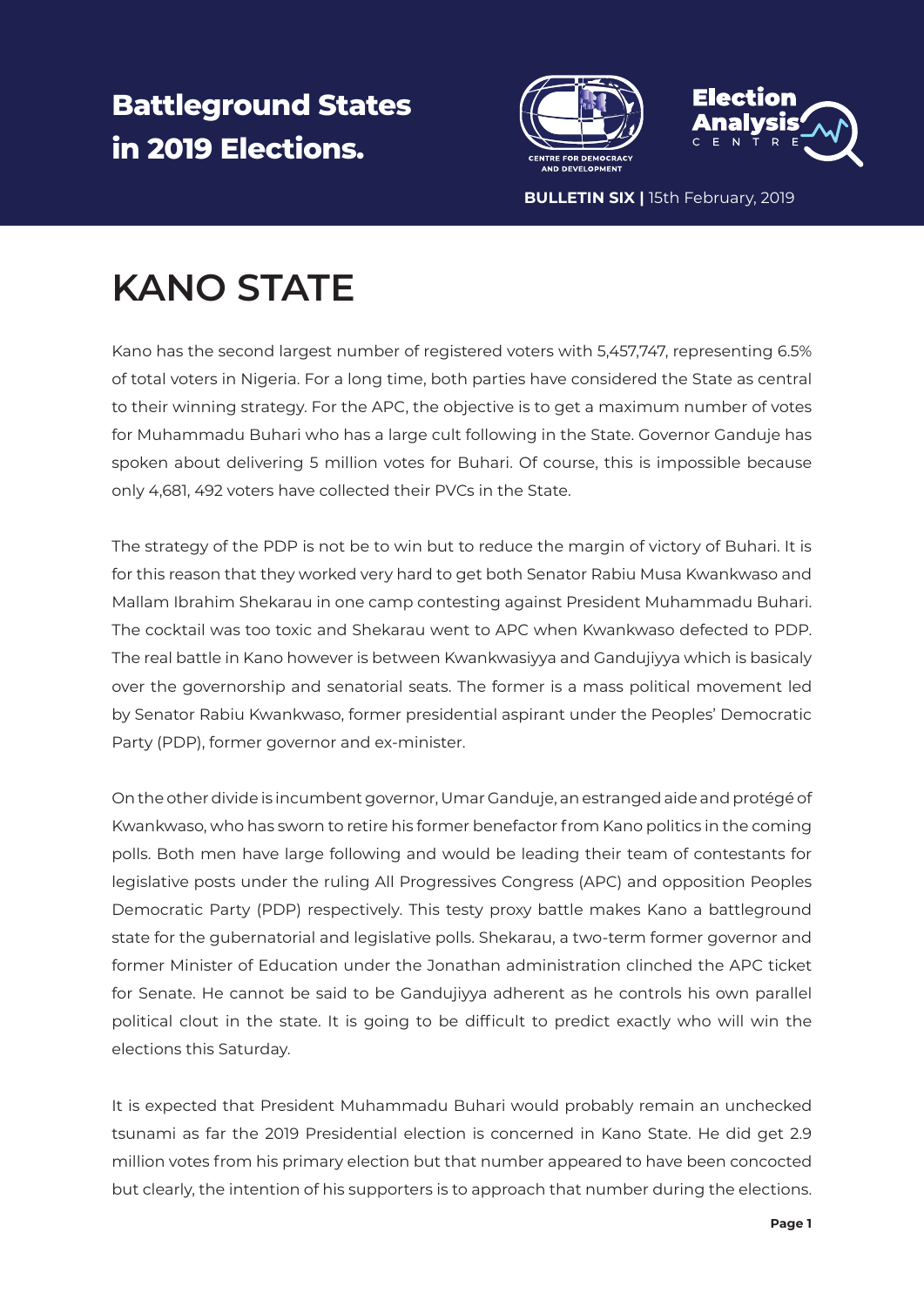## **Battleground States in 2019 Elections.**





**BULLETIN SIX |** 15th February, 2019

## **KANO STATE**

Kano has the second largest number of registered voters with 5,457,747, representing 6.5% of total voters in Nigeria. For a long time, both parties have considered the State as central to their winning strategy. For the APC, the objective is to get a maximum number of votes for Muhammadu Buhari who has a large cult following in the State. Governor Ganduje has spoken about delivering 5 million votes for Buhari. Of course, this is impossible because only 4,681, 492 voters have collected their PVCs in the State.

The strategy of the PDP is not be to win but to reduce the margin of victory of Buhari. It is for this reason that they worked very hard to get both Senator Rabiu Musa Kwankwaso and Mallam Ibrahim Shekarau in one camp contesting against President Muhammadu Buhari. The cocktail was too toxic and Shekarau went to APC when Kwankwaso defected to PDP. The real battle in Kano however is between Kwankwasiyya and Gandujiyya which is basicaly over the governorship and senatorial seats. The former is a mass political movement led by Senator Rabiu Kwankwaso, former presidential aspirant under the Peoples' Democratic Party (PDP), former governor and ex-minister.

On the other divide is incumbent governor, Umar Ganduje, an estranged aide and protégé of Kwankwaso, who has sworn to retire his former benefactor from Kano politics in the coming polls. Both men have large following and would be leading their team of contestants for legislative posts under the ruling All Progressives Congress (APC) and opposition Peoples Democratic Party (PDP) respectively. This testy proxy battle makes Kano a battleground state for the gubernatorial and legislative polls. Shekarau, a two-term former governor and former Minister of Education under the Jonathan administration clinched the APC ticket for Senate. He cannot be said to be Gandujiyya adherent as he controls his own parallel political clout in the state. It is going to be difficult to predict exactly who will win the elections this Saturday.

It is expected that President Muhammadu Buhari would probably remain an unchecked tsunami as far the 2019 Presidential election is concerned in Kano State. He did get 2.9 million votes from his primary election but that number appeared to have been concocted but clearly, the intention of his supporters is to approach that number during the elections.